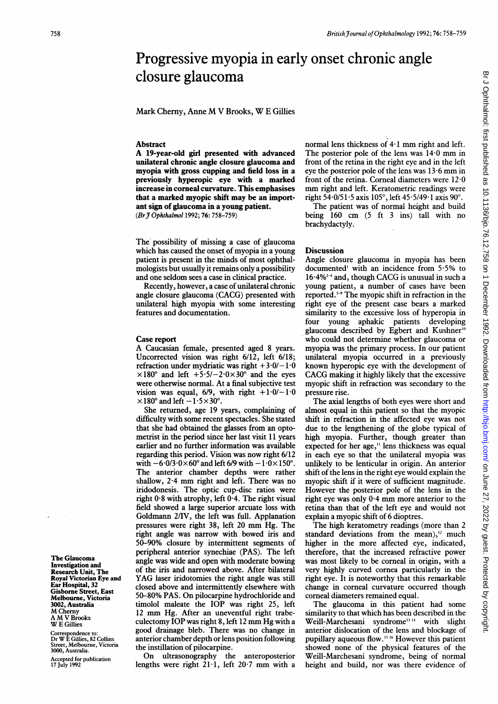# Br J Ophthalmol: first published as 10.1136/bjo.76.12.758 on 1 December 1992. Downloaded from http://bjo.bmj.com/ on June 27, 2022 by guest. Protected by copyright Br Johnalmol: first published as 10.1136/bjo.76.12.758 on 1 December 1992. Downloaded from <http://bjo.bmj.com/> on June 27, 2022 by guest. Protected by copyright.

# Progressive myopia in early onset chronic angle closure glaucoma

Mark Cherny, Anne M V Brooks, W <sup>E</sup> Gillies

## **Abstract**

A 19-year-old girl presented with advanced unilateral chronic angle closure glaucoma and myopia with gross cupping and field loss in a previously hyperopic eye with a marked increase in corneal curvature. This emphasises that a marked myopic shift may be an important sign of glaucoma in a young patient. (BrJ Ophthalmol 1992; 76: 758-759)

The possibility of missing a case of glaucoma which has caused the onset of myopia in a young patient is present in the minds of most ophthalmologists but usually it remains only a possibility and one seldom sees a case in clinical practice.

Recently, however, a case of unilateral chronic angle closure glaucoma (CACG) presented with unilateral high myopia with some interesting features and documentation.

### Case report

A Caucasian female, presented aged <sup>8</sup> years. Uncorrected vision was right 6/12, left 6/18; refraction under mydriatic was right  $+3.0/-1.0$  $\times180^\circ$  and left  $+5.5/-2.0\times30^\circ$  and the eyes were otherwise normal. At a final subjective test vision was equal,  $6/9$ , with right  $+1.0/-1.0$  $\times$ 180° and left  $-1.5\times30$ °.

She returned, age 19 years, complaining of difficulty with some recent spectacles. She stated that she had obtained the glasses from an optometrist in the period since her last visit 11 years earlier and no further information was available regarding this period. Vision was now right 6/12 with  $-6.0/3.0 \times 60^\circ$  and left 6/9 with  $-1.0 \times 150^\circ$ . The anterior chamber depths were rather shallow, 2-4 mm right and left. There was no iridodonesis. The optic cup-disc ratios were right 0-8 with atrophy, left <sup>0</sup>'4. The right visual field showed a large superior arcuate loss with Goldmann 2/IV, the left was full. Applanation pressures were right 38, left <sup>20</sup> mm Hg. The right angle was narrow with bowed iris and 50-90% closure by intermittent segments of peripheral anterior synechiae (PAS). The left angle was wide and open with moderate bowing of the iris and narrowed above. After bilateral YAG laser iridotomies the right angle was still closed above and intermittently elsewhere with 50-80% PAS. On pilocarpine hydrochloride and timolol maleate the IOP was right 25, left <sup>12</sup> mm Hg. After an uneventful right trabeculectomy IOP was right 8, left <sup>12</sup> mm Hg with <sup>a</sup> good drainage bleb. There was no change in anterior chamber depth or lens position following the instillation of pilocarpine.

On ultrasonography the anteroposterior lengths were right 21-1, left 20-7 mm with <sup>a</sup> normal lens thickness of  $4·1$  mm right and left. The posterior pole of the lens was 14-0 mm in front of the retina in the right eye and in the left eye the posterior pole of the lens was  $13.6$  mm in front of the retina. Corneal diameters were 12-0 mm right and left. Keratometric readings were right  $54.0/51.5$  axis  $105^{\circ}$ , left  $45.5/49.1$  axis  $90^{\circ}$ .

The patient was of normal height and build being 160 cm (5 ft <sup>3</sup> ins) tall with no brachydactyly.

### **Discussion**

Angle closure glaucoma in myopia has been documented' with an incidence from 5-5% to  $16.4\%$ <sup>2-4</sup> and, though CACG is unusual in such a young patient, a number of cases have been reported.5"9 The myopic shift in refraction in the right eye of the present case bears a marked similarity to the excessive loss of hyperopia in four young aphakic patients developing glaucoma described by Egbert and Kushner'" who could not determine whether glaucoma or myopia was the primary process. In our patient unilateral myopia occurred in a previously known hyperopic eye with the development of CACG making it highly likely that the excessive myopic shift in refraction was secondary to the pressure rise.

The axial lengths of both eyes were short and almost equal in this patient so that the myopic shift in refraction in the affected eye was not due to the lengthening of the globe typical of high myopia. Further, though greater than expected for her age,<sup>11</sup> lens thickness was equal in each eye so that the unilateral myopia was unlikely to be lenticular in origin. An anterior shift of the lens in the right eye would explain the myopic shift if it were of sufficient magnitude. However the posterior pole of the lens in the right eye was only 0-4 mm more anterior to the retina than that of the left eye and would not explain a myopic shift of 6 dioptres.

The high keratometry readings (more than 2 standard deviations from the mean), $12$  much higher in the more affected eye, indicated, therefore, that the increased refractive power was most likely to be corneal in origin, with a very highly curved cornea particularly in the right eye. It is noteworthy that this remarkable change in corneal curvature occurred though corneal diameters remained equal.

The glaucoma in this patient had some similarity to that which has been described in the Weill-Marchesani syndrome<sup>13 14</sup> with slight anterior dislocation of the lens and blockage of pupillary aqueous flow.'5 <sup>16</sup> However this patient showed none of the physical features of the Weill-Marchesani syndrome, being of normal height and build, nor was there evidence of

The Glaucoma Investigation and Research Unit, The Royal Victorian Eye and Ear Hospital, 32 Gisborne Street, East Melbourne, Victoria 3002, Australia M Cherny A MV Brooks W<sub>E</sub> Gillies

Correspondence to: Dr W <sup>E</sup> Gillies, <sup>82</sup> Collins Street, Melbourne, Victoria 3000, Australia.

Accepted for publication 17 July 1992